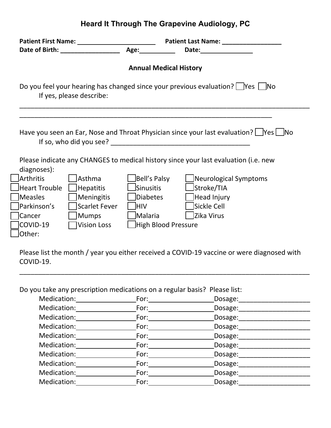## **Heard It Through The Grapevine Audiology, PC**

|                                                                                     | Patient First Name: 1997 1997 1998<br>Date of Birth: __________________                                                                                                                                                        | Age: Note that the set of the set of the set of the set of the set of the set of the set of the set of the set of the set of the set of the set of the set of the set of the set of the set of the set of the set of the set o | Patient Last Name: ____________________                                                                                                                                                 |
|-------------------------------------------------------------------------------------|--------------------------------------------------------------------------------------------------------------------------------------------------------------------------------------------------------------------------------|--------------------------------------------------------------------------------------------------------------------------------------------------------------------------------------------------------------------------------|-----------------------------------------------------------------------------------------------------------------------------------------------------------------------------------------|
|                                                                                     |                                                                                                                                                                                                                                | <b>Annual Medical History</b>                                                                                                                                                                                                  |                                                                                                                                                                                         |
|                                                                                     | If yes, please describe:                                                                                                                                                                                                       |                                                                                                                                                                                                                                | Do you feel your hearing has changed since your previous evaluation? $\Box$ Yes $\Box$ No                                                                                               |
| diagnoses):                                                                         | If so, who did you see? The same set of the set of the set of the set of the set of the set of the set of the set of the set of the set of the set of the set of the set of the set of the set of the set of the set of the se |                                                                                                                                                                                                                                | Have you seen an Ear, Nose and Throat Physician since your last evaluation? $\Box$ Yes $\Box$ No<br>Please indicate any CHANGES to medical history since your last evaluation (i.e. new |
| <b>Arthritis</b><br><b>Heart Trouble</b><br><b>Measles</b><br>Parkinson's<br>Cancer | Asthma<br><b>Hepatitis</b><br>Meningitis<br><b>Scarlet Fever</b><br><b>Mumps</b>                                                                                                                                               | Bell's Palsy<br>Sinusitis<br>Diabetes<br><b>HIV</b><br>Malaria                                                                                                                                                                 | Neurological Symptoms<br>Stroke/TIA<br>Head Injury<br>Sickle Cell<br>Zika Virus                                                                                                         |
| COVID-19<br>Other:                                                                  | <b>Vision Loss</b>                                                                                                                                                                                                             | High Blood Pressure                                                                                                                                                                                                            |                                                                                                                                                                                         |

Please list the month / year you either received a COVID-19 vaccine or were diagnosed with COVID-19.

\_\_\_\_\_\_\_\_\_\_\_\_\_\_\_\_\_\_\_\_\_\_\_\_\_\_\_\_\_\_\_\_\_\_\_\_\_\_\_\_\_\_\_\_\_\_\_\_\_\_\_\_\_\_\_\_\_\_\_\_\_\_\_\_\_\_\_\_\_\_\_\_\_\_\_\_\_

Do you take any prescription medications on a regular basis? Please list:

| Medication: | For:        | Dosage: |
|-------------|-------------|---------|
| Medication: | For:        | Dosage: |
| Medication: | For:        | Dosage: |
| Medication: | For:        | Dosage: |
| Medication: | For:        | Dosage: |
| Medication: | For:        | Dosage: |
| Medication: | For: $\_\_$ | Dosage: |
| Medication: | For:        | Dosage: |
| Medication: | For:        | Dosage: |
| Medication: | For:        | Dosage: |